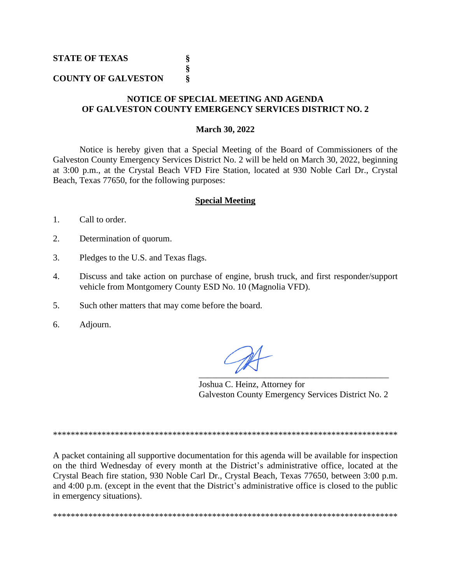**STATE OF TEXAS** 

## **COUNTY OF GALVESTON** §

## NOTICE OF SPECIAL MEETING AND AGENDA OF GALVESTON COUNTY EMERGENCY SERVICES DISTRICT NO. 2

§ ş

## **March 30, 2022**

Notice is hereby given that a Special Meeting of the Board of Commissioners of the Galveston County Emergency Services District No. 2 will be held on March 30, 2022, beginning at 3:00 p.m., at the Crystal Beach VFD Fire Station, located at 930 Noble Carl Dr., Crystal Beach, Texas 77650, for the following purposes:

## **Special Meeting**

- 1. Call to order.
- $2.$ Determination of quorum.
- 3. Pledges to the U.S. and Texas flags.
- $\overline{4}$ . Discuss and take action on purchase of engine, brush truck, and first responder/support vehicle from Montgomery County ESD No. 10 (Magnolia VFD).
- $5<sub>1</sub>$ Such other matters that may come before the board.
- 6. Adjourn.

Joshua C. Heinz, Attorney for Galveston County Emergency Services District No. 2

A packet containing all supportive documentation for this agenda will be available for inspection on the third Wednesday of every month at the District's administrative office, located at the Crystal Beach fire station, 930 Noble Carl Dr., Crystal Beach, Texas 77650, between 3:00 p.m. and 4:00 p.m. (except in the event that the District's administrative office is closed to the public in emergency situations).